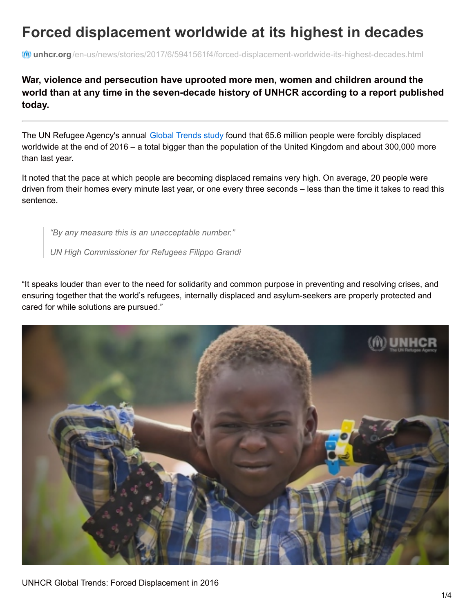## **Forced displacement worldwide at its highest in decades**

**unhcr.org**[/en-us/news/stories/2017/6/5941561f4/forced-displacement-worldwide-its-highest-decades.html](http://www.unhcr.org/en-us/news/stories/2017/6/5941561f4/forced-displacement-worldwide-its-highest-decades.html)

## **War, violence and persecution have uprooted more men, women and children around the world than at any time in the seven-decade history of UNHCR according to a report published today.**

The UN Refugee Agency's annual Global [Trends](http://www.unhcr.org/globaltrends2016) study found that 65.6 million people were forcibly displaced worldwide at the end of 2016 – a total bigger than the population of the United Kingdom and about 300,000 more than last year.

It noted that the pace at which people are becoming displaced remains very high. On average, 20 people were driven from their homes every minute last year, or one every three seconds – less than the time it takes to read this sentence.

*"By any measure this is an unacceptable number."*

*UN High Commissioner for Refugees Filippo Grandi*

"It speaks louder than ever to the need for solidarity and common purpose in preventing and resolving crises, and ensuring together that the world's refugees, internally displaced and asylum-seekers are properly protected and cared for while solutions are pursued."

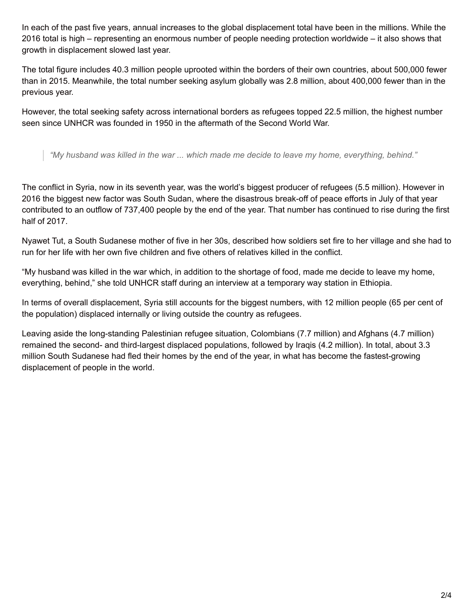In each of the past five years, annual increases to the global displacement total have been in the millions. While the 2016 total is high – representing an enormous number of people needing protection worldwide – it also shows that growth in displacement slowed last year.

The total figure includes 40.3 million people uprooted within the borders of their own countries, about 500,000 fewer than in 2015. Meanwhile, the total number seeking asylum globally was 2.8 million, about 400,000 fewer than in the previous year.

However, the total seeking safety across international borders as refugees topped 22.5 million, the highest number seen since UNHCR was founded in 1950 in the aftermath of the Second World War.

*"My husband was killed in the war ... which made me decide to leave my home, everything, behind."*

The conflict in Syria, now in its seventh year, was the world's biggest producer of refugees (5.5 million). However in 2016 the biggest new factor was South Sudan, where the disastrous break-off of peace efforts in July of that year contributed to an outflow of 737,400 people by the end of the year. That number has continued to rise during the first half of 2017.

Nyawet Tut, a South Sudanese mother of five in her 30s, described how soldiers set fire to her village and she had to run for her life with her own five children and five others of relatives killed in the conflict.

"My husband was killed in the war which, in addition to the shortage of food, made me decide to leave my home, everything, behind," she told UNHCR staff during an interview at a temporary way station in Ethiopia.

In terms of overall displacement, Syria still accounts for the biggest numbers, with 12 million people (65 per cent of the population) displaced internally or living outside the country as refugees.

Leaving aside the long-standing Palestinian refugee situation, Colombians (7.7 million) and Afghans (4.7 million) remained the second- and third-largest displaced populations, followed by Iraqis (4.2 million). In total, about 3.3 million South Sudanese had fled their homes by the end of the year, in what has become the fastest-growing displacement of people in the world.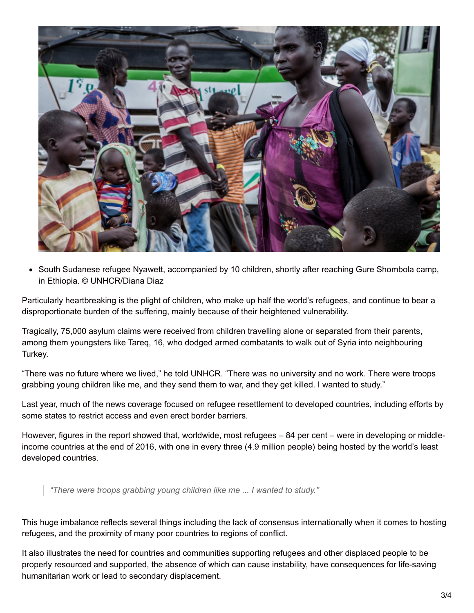

• South Sudanese refugee Nyawett, accompanied by 10 children, shortly after reaching Gure Shombola camp, in Ethiopia. © UNHCR/Diana Diaz

Particularly heartbreaking is the plight of children, who make up half the world's refugees, and continue to bear a disproportionate burden of the suffering, mainly because of their heightened vulnerability.

Tragically, 75,000 asylum claims were received from children travelling alone or separated from their parents, among them youngsters like Tareq, 16, who dodged armed combatants to walk out of Syria into neighbouring Turkey.

"There was no future where we lived," he told UNHCR. "There was no university and no work. There were troops grabbing young children like me, and they send them to war, and they get killed. I wanted to study."

Last year, much of the news coverage focused on refugee resettlement to developed countries, including efforts by some states to restrict access and even erect border barriers.

However, figures in the report showed that, worldwide, most refugees – 84 per cent – were in developing or middleincome countries at the end of 2016, with one in every three (4.9 million people) being hosted by the world's least developed countries.

*"There were troops grabbing young children like me ... I wanted to study."*

This huge imbalance reflects several things including the lack of consensus internationally when it comes to hosting refugees, and the proximity of many poor countries to regions of conflict.

It also illustrates the need for countries and communities supporting refugees and other displaced people to be properly resourced and supported, the absence of which can cause instability, have consequences for life-saving humanitarian work or lead to secondary displacement.